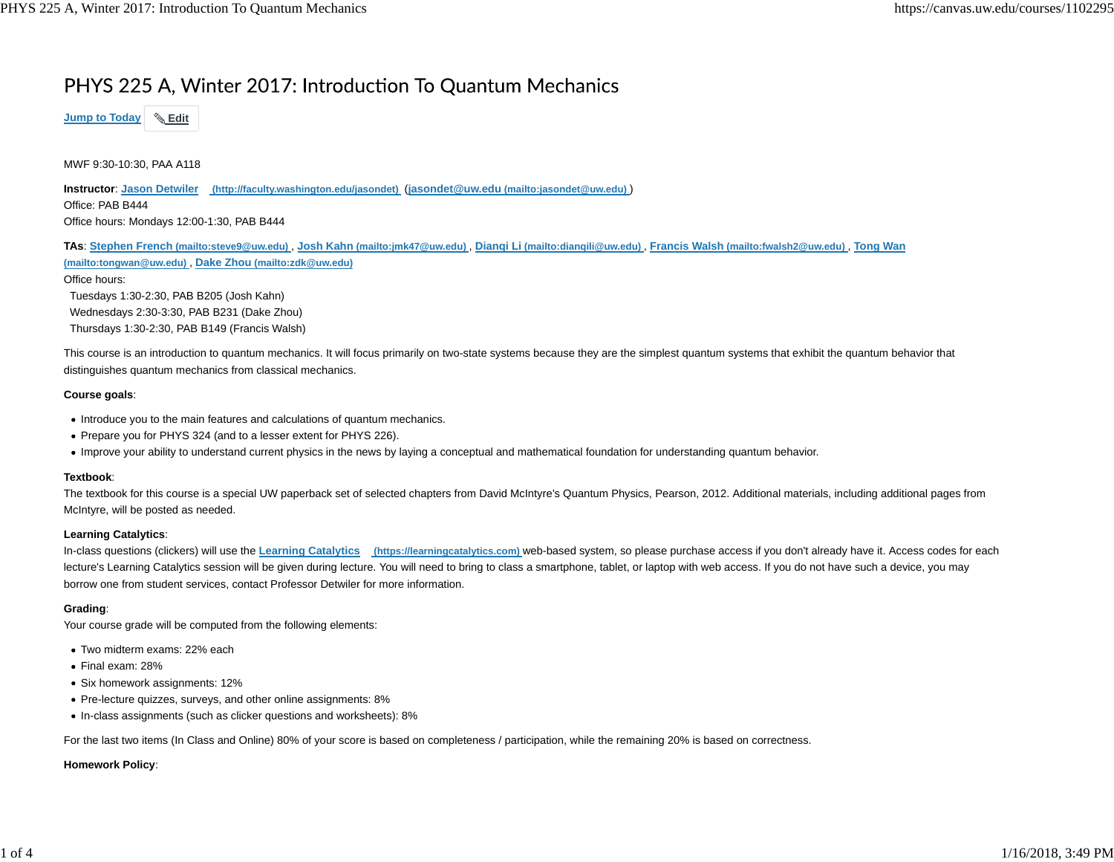## PHYS 225 A, Winter 2017: Introduction To Quantum Mechanics



MWF 9:30-10:30, PAA A118

**Instructor**: **Jason Detwiler (http://faculty.washington.edu/jasondet)** (**jasondet@uw.edu (mailto:jasondet@uw.edu)** ) Office: PAB B444Office hours: Mondays 12:00-1:30, PAB B444

**TAs**: **Stephen French (mailto:steve9@uw.edu)** , **Josh Kahn (mailto:jmk47@uw.edu)** , **Dianqi Li (mailto:dianqili@uw.edu)** , **Francis Walsh (mailto:fwalsh2@uw.edu)** , **Tong Wan (mailto:tongwan@uw.edu)** , **Dake Zhou (mailto:zdk@uw.edu)** Office hours:

 Tuesdays 1:30-2:30, PAB B205 (Josh Kahn) Wednesdays 2:30-3:30, PAB B231 (Dake Zhou) Thursdays 1:30-2:30, PAB B149 (Francis Walsh)

This course is an introduction to quantum mechanics. It will focus primarily on two-state systems because they are the simplest quantum systems that exhibit the quantum behavior that distinguishes quantum mechanics from classical mechanics.

#### **Course goals**:

- Introduce you to the main features and calculations of quantum mechanics.
- Prepare you for PHYS 324 (and to a lesser extent for PHYS 226).
- Improve your ability to understand current physics in the news by laying a conceptual and mathematical foundation for understanding quantum behavior.

#### **Textbook**:

The textbook for this course is a special UW paperback set of selected chapters from David McIntyre's Quantum Physics, Pearson, 2012. Additional materials, including additional pages from McIntyre, will be posted as needed.

## **Learning Catalytics**:

In-class questions (clickers) will use the Learning Catalytics (https://learningcatalytics.com) web-based system, so please purchase access if you don't already have it. Access codes for each lecture's Learning Catalytics session will be given during lecture. You will need to bring to class a smartphone, tablet, or laptop with web access. If you do not have such a device, you may borrow one from student services, contact Professor Detwiler for more information.

## **Grading**:

Your course grade will be computed from the following elements:

- Two midterm exams: 22% each
- Final exam: 28%
- Six homework assignments: 12%
- Pre-lecture quizzes, surveys, and other online assignments: 8%
- In-class assignments (such as clicker questions and worksheets): 8%

For the last two items (In Class and Online) 80% of your score is based on completeness / participation, while the remaining 20% is based on correctness.

### **Homework Policy**: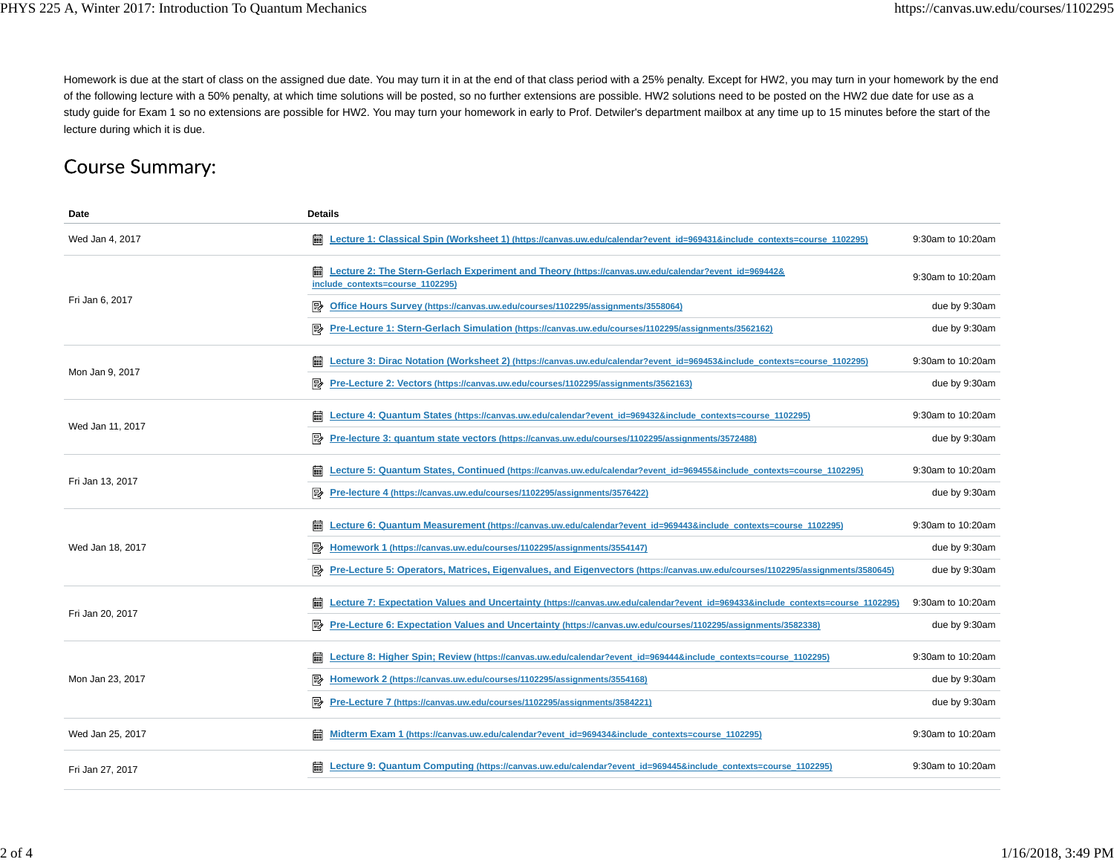Homework is due at the start of class on the assigned due date. You may turn it in at the end of that class period with a 25% penalty. Except for HW2, you may turn in your homework by the end of the following lecture with a 50% penalty, at which time solutions will be posted, so no further extensions are possible. HW2 solutions need to be posted on the HW2 due date for use as a study guide for Exam 1 so no extensions are possible for HW2. You may turn your homework in early to Prof. Detwiler's department mailbox at any time up to 15 minutes before the start of the lecture during which it is due.

# **Course Summary:**

| Date             | <b>Details</b>                                                                                                                               |                   |
|------------------|----------------------------------------------------------------------------------------------------------------------------------------------|-------------------|
| Wed Jan 4, 2017  | 霝<br>Lecture 1: Classical Spin (Worksheet 1) (https://canvas.uw.edu/calendar?event_id=969431&include_contexts=course_1102295)                | 9:30am to 10:20am |
| Fri Jan 6, 2017  | 翩<br>Lecture 2: The Stern-Gerlach Experiment and Theory (https://canvas.uw.edu/calendar?event_id=969442&<br>include contexts=course 1102295) | 9:30am to 10:20am |
|                  | E)<br>Office Hours Survey (https://canvas.uw.edu/courses/1102295/assignments/3558064)                                                        | due by 9:30am     |
|                  | 5≽<br>Pre-Lecture 1: Stern-Gerlach Simulation (https://canvas.uw.edu/courses/1102295/assignments/3562162)                                    | due by 9:30am     |
| Mon Jan 9, 2017  | Lecture 3: Dirac Notation (Worksheet 2) (https://canvas.uw.edu/calendar?event_id=969453&include_contexts=course_1102295)                     | 9:30am to 10:20am |
|                  | 國<br>Pre-Lecture 2: Vectors (https://canvas.uw.edu/courses/1102295/assignments/3562163)                                                      | due by 9:30am     |
| Wed Jan 11, 2017 | 翩<br>Lecture 4: Quantum States (https://canvas.uw.edu/calendar?event_id=969432&include_contexts=course_1102295)                              | 9:30am to 10:20am |
|                  | Pre-lecture 3: quantum state vectors (https://canvas.uw.edu/courses/1102295/assignments/3572488)                                             | due by 9:30am     |
|                  | 霝<br>Lecture 5: Quantum States, Continued (https://canvas.uw.edu/calendar?event_id=969455&include_contexts=course_1102295)                   | 9:30am to 10:20am |
| Fri Jan 13, 2017 | ₽<br>Pre-lecture 4 (https://canvas.uw.edu/courses/1102295/assignments/3576422)                                                               | due by 9:30am     |
| Wed Jan 18, 2017 | 霝<br>Lecture 6: Quantum Measurement (https://canvas.uw.edu/calendar?event_id=969443&include_contexts=course_1102295)                         | 9:30am to 10:20am |
|                  | Homework 1 (https://canvas.uw.edu/courses/1102295/assignments/3554147)                                                                       | due by 9:30am     |
|                  | Pre-Lecture 5: Operators, Matrices, Eigenvalues, and Eigenvectors (https://canvas.uw.edu/courses/1102295/assignments/3580645)                | due by 9:30am     |
| Fri Jan 20, 2017 | 翩<br>Lecture 7: Expectation Values and Uncertainty (https://canvas.uw.edu/calendar?event id=969433&include contexts=course 1102295)          | 9:30am to 10:20am |
|                  | 國<br>Pre-Lecture 6: Expectation Values and Uncertainty (https://canvas.uw.edu/courses/1102295/assignments/3582338)                           | due by 9:30am     |
| Mon Jan 23, 2017 | 霝<br>Lecture 8: Higher Spin; Review (https://canvas.uw.edu/calendar?event id=969444&include contexts=course 1102295)                         | 9:30am to 10:20am |
|                  | 郾<br>Homework 2 (https://canvas.uw.edu/courses/1102295/assignments/3554168)                                                                  | due by 9:30am     |
|                  | 國<br>Pre-Lecture 7 (https://canvas.uw.edu/courses/1102295/assignments/3584221)                                                               | due by 9:30am     |
| Wed Jan 25, 2017 | 霝<br>Midterm Exam 1 (https://canvas.uw.edu/calendar?event id=969434&include contexts=course 1102295)                                         | 9:30am to 10:20am |
| Fri Jan 27, 2017 | Lecture 9: Quantum Computing (https://canvas.uw.edu/calendar?event_id=969445&include_contexts=course_1102295)                                | 9:30am to 10:20am |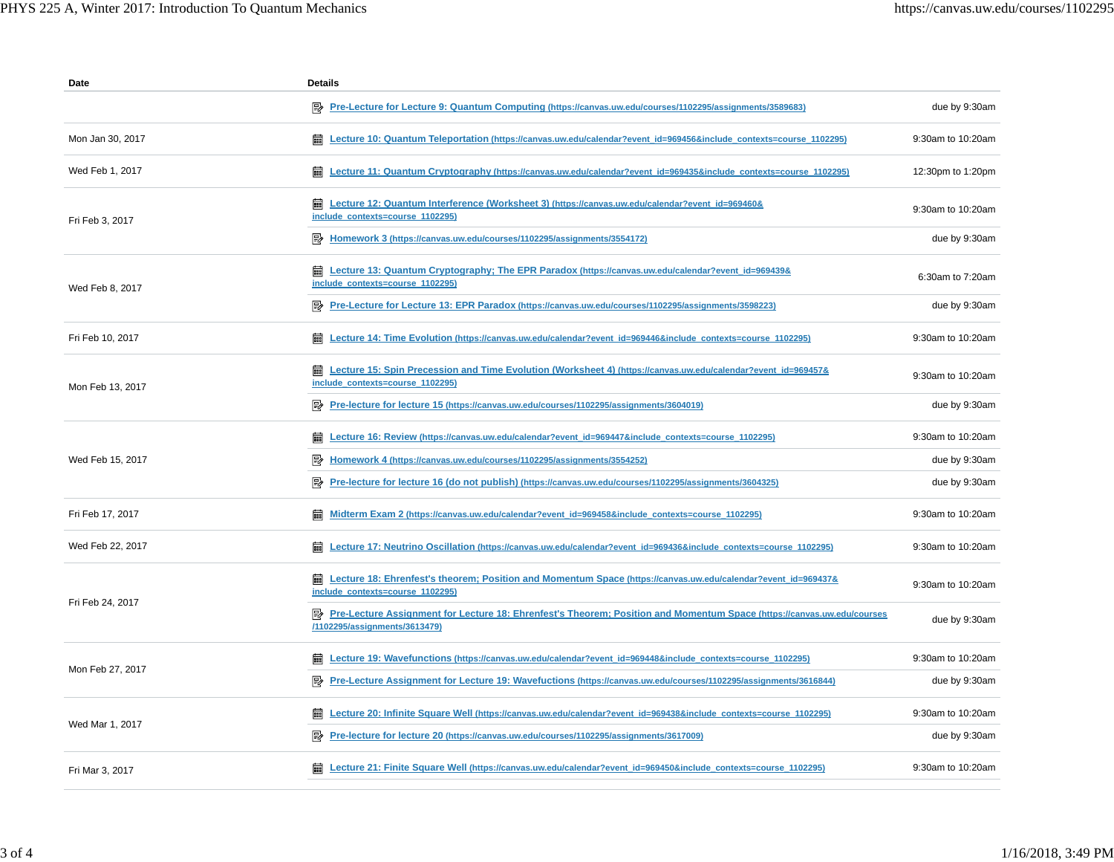| Date             | <b>Details</b>                                                                                                                                            |                   |
|------------------|-----------------------------------------------------------------------------------------------------------------------------------------------------------|-------------------|
|                  | Pre-Lecture for Lecture 9: Quantum Computing (https://canvas.uw.edu/courses/1102295/assignments/3589683)                                                  | due by 9:30am     |
| Mon Jan 30, 2017 | 翩<br>Lecture 10: Quantum Teleportation (https://canvas.uw.edu/calendar?event_id=969456&include_contexts=course_1102295)                                   | 9:30am to 10:20am |
| Wed Feb 1, 2017  | Em Lecture 11: Quantum Cryptography (https://canvas.uw.edu/calendar?event_id=969435&include_contexts=course_1102295)                                      | 12:30pm to 1:20pm |
| Fri Feb 3, 2017  | <b>and Lecture 12: Quantum Interference (Worksheet 3) (https://canvas.uw.edu/calendar?event_id=969460&amp;</b><br>include contexts=course 1102295)        | 9:30am to 10:20am |
|                  | By Homework 3 (https://canvas.uw.edu/courses/1102295/assignments/3554172)                                                                                 | due by 9:30am     |
| Wed Feb 8, 2017  | <b>and Lecture 13: Quantum Cryptography; The EPR Paradox (https://canvas.uw.edu/calendar?event_id=969439&amp;</b><br>include contexts=course 1102295)     | 6:30am to 7:20am  |
|                  | Pre-Lecture for Lecture 13: EPR Paradox (https://canvas.uw.edu/courses/1102295/assignments/3598223)                                                       | due by 9:30am     |
| Fri Feb 10, 2017 | Lecture 14: Time Evolution (https://canvas.uw.edu/calendar?event_id=969446&include_contexts=course_1102295)<br>扁                                          | 9:30am to 10:20am |
| Mon Feb 13, 2017 | Em Lecture 15: Spin Precession and Time Evolution (Worksheet 4) (https://canvas.uw.edu/calendar?event_id=969457&<br>include_contexts=course_1102295)      | 9:30am to 10:20am |
|                  | Pre-lecture for lecture 15 (https://canvas.uw.edu/courses/1102295/assignments/3604019)                                                                    | due by 9:30am     |
| Wed Feb 15, 2017 | Lecture 16: Review (https://canvas.uw.edu/calendar?event_id=969447&include_contexts=course_1102295)                                                       | 9:30am to 10:20am |
|                  | Homework 4 (https://canvas.uw.edu/courses/1102295/assignments/3554252)<br>P                                                                               | due by 9:30am     |
|                  | Pre-lecture for lecture 16 (do not publish) (https://canvas.uw.edu/courses/1102295/assignments/3604325)<br>駗                                              | due by 9:30am     |
| Fri Feb 17, 2017 | <b>iiii</b> Midterm Exam 2 (https://canvas.uw.edu/calendar?event_id=969458&include_contexts=course_1102295)                                               | 9:30am to 10:20am |
| Wed Feb 22, 2017 | Lecture 17: Neutrino Oscillation (https://canvas.uw.edu/calendar?event_id=969436&include_contexts=course_1102295)<br>翩                                    | 9:30am to 10:20am |
| Fri Feb 24, 2017 | Em Lecture 18: Ehrenfest's theorem; Position and Momentum Space (https://canvas.uw.edu/calendar?event_id=969437&<br>include contexts=course 1102295)      | 9:30am to 10:20am |
|                  | P Pre-Lecture Assignment for Lecture 18: Ehrenfest's Theorem; Position and Momentum Space (https://canvas.uw.edu/courses<br>/1102295/assignments/3613479) | due by 9:30am     |
| Mon Feb 27, 2017 | Lecture 19: Wavefunctions (https://canvas.uw.edu/calendar?event_id=969448&include_contexts=course_1102295)<br>酾                                           | 9:30am to 10:20am |
|                  | Pre-Lecture Assignment for Lecture 19: Wavefuctions (https://canvas.uw.edu/courses/1102295/assignments/3616844)                                           | due by 9:30am     |
| Wed Mar 1, 2017  | Lecture 20: Infinite Square Well (https://canvas.uw.edu/calendar?event_id=969438&include_contexts=course_1102295)                                         | 9:30am to 10:20am |
|                  | Pre-lecture for lecture 20 (https://canvas.uw.edu/courses/1102295/assignments/3617009)<br>駗                                                               | due by 9:30am     |
| Fri Mar 3, 2017  | Et Lecture 21: Finite Square Well (https://canvas.uw.edu/calendar?event_id=969450&include_contexts=course_1102295)                                        | 9:30am to 10:20am |